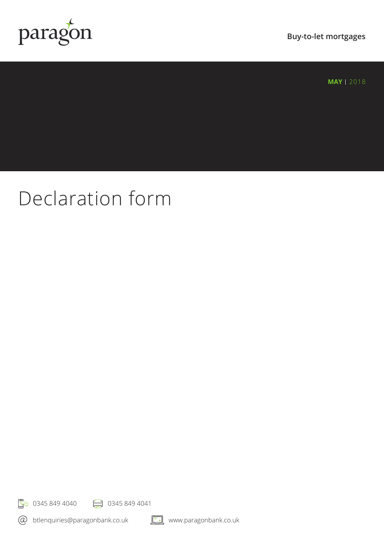

**MAY** | 2018

# Declaration form

**F**<sub>7</sub> 0345 849 4040 **P** 0345 849 4041

btlenquiries@paragonbank.co.uk



www.paragonbank.co.uk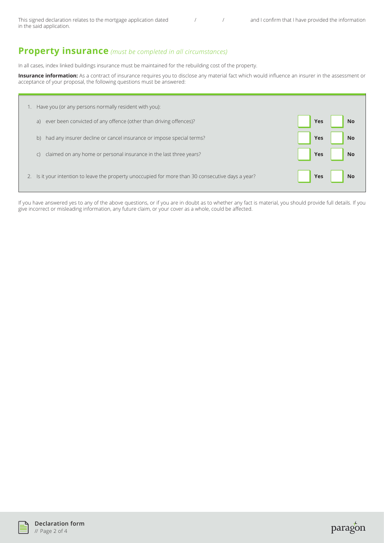This signed declaration relates to the mortgage application dated  $\frac{1}{2}$  / and I confirm that I have provided the information in the said application.

## **Property insurance** *(must be completed in all circumstances)*

In all cases, index linked buildings insurance must be maintained for the rebuilding cost of the property.

**Insurance information:** As a contract of insurance requires you to disclose any material fact which would influence an insurer in the assessment or acceptance of your proposal, the following questions must be answered:

| Have you (or any persons normally resident with you):                                           |                         |
|-------------------------------------------------------------------------------------------------|-------------------------|
| ever been convicted of any offence (other than driving offences)?                               | <b>Yes</b>              |
| a)                                                                                              | <b>No</b>               |
| had any insurer decline or cancel insurance or impose special terms?                            | <b>No</b>               |
| b)                                                                                              | <b>Yes</b>              |
| claimed on any home or personal insurance in the last three years?                              | <b>No</b>               |
| $\mathsf{C}$                                                                                    | <b>Yes</b>              |
| Is it your intention to leave the property unoccupied for more than 30 consecutive days a year? | <b>Yes</b><br><b>No</b> |

If you have answered yes to any of the above questions, or if you are in doubt as to whether any fact is material, you should provide full details. If you give incorrect or misleading information, any future claim, or your cover as a whole, could be affected.



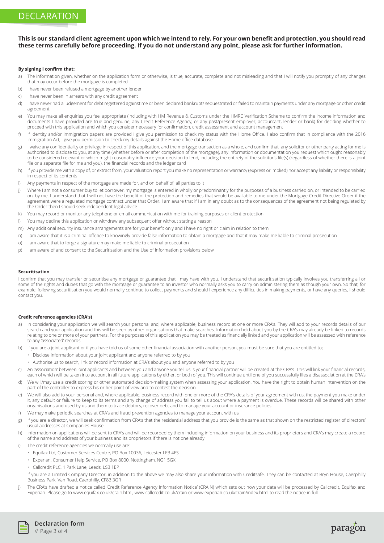# DECLARATION

## **This is our standard client agreement upon which we intend to rely. For your own benefit and protection, you should read these terms carefully before proceeding. If you do not understand any point, please ask for further information.**

### **By signing I confirm that:**

- a) The information given, whether on the application form or otherwise, is true, accurate, complete and not misleading and that I will notify you promptly of any changes that may occur before the mortgage is completed
- b) I have never been refused a mortgage by another lender
- c) I have never been in arrears with any credit agreement
- d) I have never had a judgement for debt registered against me or been declared bankrupt/ sequestrated or failed to maintain payments under any mortgage or other credit agreement
- e) You may make all enquiries you feel appropriate (including with HM Revenue & Customs under the HMRC Verification Scheme to confirm the income information and documents I have provided are true and genuine, any Credit Reference Agency, or any past/present employer, accountant, lender or bank) for deciding whether to proceed with this application and which you consider necessary for confirmation, credit assessment and account management
- f) If identity and/or immigration papers are provided I give you permission to check my status with the Home Office. I also confirm that in compliance with the 2016 Immigration Act, I give you permission to check my details against the Home office database
- g) I waive any confidentiality or privilege in respect of this application, and the mortgage transaction as a whole, and confirm that any solicitor or other party acting for me is authorised to disclose to you, at any time (whether before or after completion of the mortgage), any information or documentation you request which ought reasonably to be considered relevant or which might reasonably influence your decision to lend, including the entirety of the solicitor's file(s) (regardless of whether there is a joint file or a separate file for me and you), the financial records and the ledger card
- h) If you provide me with a copy of, or extract from, your valuation report you make no representation or warranty (express or implied) nor accept any liability or responsibility in respect of its contents
- i) Any payments in respect of the mortgage are made for, and on behalf of, all parties to it
- i) Where I am not a consumer buy to let borrower, my mortgage is entered in wholly or predominantly for the purposes of a business carried on, or intended to be carried on, by me. I understand that I will not have the benefit of the protection and remedies that would be available to me under the Mortgage Credit Directive Order if the agreement were a regulated mortgage contract under that Order. I am aware that if I am in any doubt as to the consequences of the agreement not being regulated by the Order then I should seek independent legal advice
- k) You may record or monitor any telephone or email communication with me for training purposes or client protection
- l) You may decline this application or withdraw any subsequent offer without stating a reason
- m) Any additional security insurance arrangements are for your benefit only and I have no right or claim in relation to them
- n) I am aware that it is a criminal offence to knowingly provide false information to obtain a mortgage and that it may make me liable to criminal prosecution
- o) I am aware that to forge a signature may make me liable to criminal prosecution
- p) I am aware of and consent to the Securitisation and the Use of Information provisions below

#### **Securitisation**

I confirm that you may transfer or securitise any mortgage or guarantee that I may have with you. I understand that securitisation typically involves you transferring all or some of the rights and duties that go with the mortgage or guarantee to an investor who normally asks you to carry on administering them as though your own. So that, for example, following securitisation you would normally continue to collect payments and should I experience any difficulties in making payments, or have any queries, I should contact you.

#### **Credit reference agencies (CRA's)**

- a) In considering your application we will search your personal and, where applicable, business record at one or more CRA's. They will add to your records details of our search and your application and this will be seen by other organisations that make searches. Information held about you by the CRA's may already be linked to records relating to one or more of your partners. For the purposes of this application you may be treated as financially linked and your application will be assessed with reference to any 'associated' records
- b) If you are a joint applicant or if you have told us of some other financial association with another person, you must be sure that you are entitled to:
	- Disclose information about your joint applicant and anyone referred to by you
	- Authorise us to search, link or record information at CRA's about you and anyone referred to by you
- c) An 'association' between joint applicants and between you and anyone you tell us is your financial partner will be created at the CRA's. This will link your financial records, each of which will be taken into account in all future applications by either, or both of you. This will continue until one of you successfully files a disassociation at the CRA's
- d) We will/may use a credit scoring or other automated decision-making system when assessing your application. You have the right to obtain human intervention on the part of the controller to express his or her point of view and to contest the decision
- e) We will also add to your personal and, where applicable, business record with one or more of the CRA's details of your agreement with us, the payment you make under it, any default or failure to keep to its terms and any change of address you fail to tell us about where a payment is overdue. These records will be shared with other organisations and used by us and them to trace debtors, recover debt and to manage your account or insurance policies
- f) We may make periodic searches at CRA's and fraud prevention agencies to manage your account with us
- g) If you are a director, we will seek confirmation from CRA's that the residential address that you provide is the same as that shown on the restricted register of directors' usual addresses at Companies House
- h) Information on applications will be sent to CRA's and will be recorded by them including information on your business and its proprietors and CRA's may create a record of the name and address of your business and its proprietors if there is not one already
- i) The credit reference agencies we normally use are:
	- Equifax Ltd, Customer Services Centre, PO Box 10036, Leicester LE3 4FS
	- Experian, Consumer Help Service, PO Box 8000, Nottingham, NG1 5GX
	- Callcredit PLC, 1 Park Lane, Leeds, LS3 1EP

 If you are a Limited Company Director, in addition to the above we may also share your information with Creditsafe. They can be contacted at Bryn House, Caerphilly Business Park, Van Road, Caerphilly, CF83 3GR

j) The CRA's have drafted a notice called 'Credit Reference Agency Information Notice' (CRAIN) which sets out how your data will be processed by Callcredit, Equifax and Experian. Please go to www.equifax.co.uk/crain.html, www.callcredit.co.uk/crain or www.experian.co.uk/crain/index.html to read the notice in full